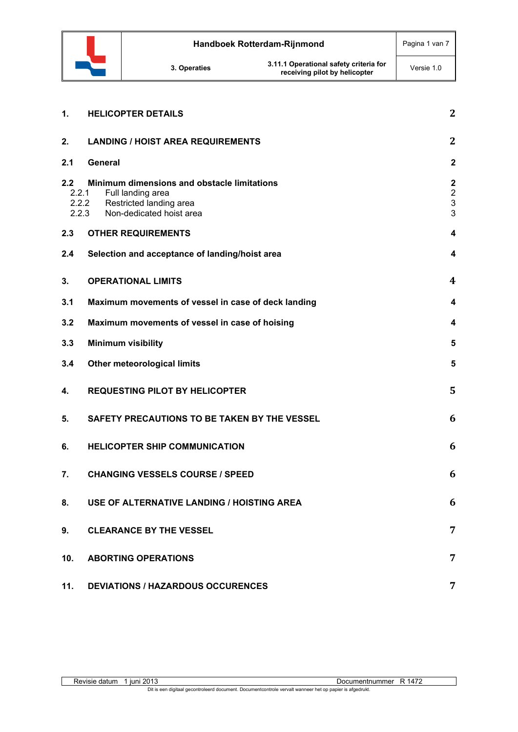

| 1.           | <b>HELICOPTER DETAILS</b>                                                                                                                 | $\mathbf{2}$                                                                |
|--------------|-------------------------------------------------------------------------------------------------------------------------------------------|-----------------------------------------------------------------------------|
| 2.           | <b>LANDING / HOIST AREA REQUIREMENTS</b>                                                                                                  | $\mathbf{2}$                                                                |
| 2.1          | <b>General</b>                                                                                                                            | $\overline{\mathbf{2}}$                                                     |
| 2.2<br>2.2.1 | Minimum dimensions and obstacle limitations<br>Full landing area<br>2.2.2<br>Restricted landing area<br>2.2.3<br>Non-dedicated hoist area | $\overline{\mathbf{2}}$<br>$\overline{2}$<br>$\ensuremath{\mathsf{3}}$<br>3 |
| 2.3          | <b>OTHER REQUIREMENTS</b>                                                                                                                 | $\boldsymbol{4}$                                                            |
| 2.4          | Selection and acceptance of landing/hoist area                                                                                            | $\overline{\mathbf{4}}$                                                     |
| 3.           | <b>OPERATIONAL LIMITS</b>                                                                                                                 | 4                                                                           |
| 3.1          | Maximum movements of vessel in case of deck landing                                                                                       | 4                                                                           |
| 3.2          | Maximum movements of vessel in case of hoising                                                                                            | 4                                                                           |
| 3.3          | <b>Minimum visibility</b>                                                                                                                 | 5                                                                           |
| 3.4          | <b>Other meteorological limits</b>                                                                                                        | 5                                                                           |
| 4.           | <b>REQUESTING PILOT BY HELICOPTER</b>                                                                                                     | 5                                                                           |
| 5.           | SAFETY PRECAUTIONS TO BE TAKEN BY THE VESSEL                                                                                              | 6                                                                           |
| 6.           | <b>HELICOPTER SHIP COMMUNICATION</b>                                                                                                      | 6                                                                           |
| 7.           | <b>CHANGING VESSELS COURSE / SPEED</b>                                                                                                    | 6                                                                           |
| 8.           | USE OF ALTERNATIVE LANDING / HOISTING AREA                                                                                                | 6                                                                           |
| 9.           | <b>CLEARANCE BY THE VESSEL</b>                                                                                                            | 7                                                                           |
| 10.          | <b>ABORTING OPERATIONS</b>                                                                                                                | 7                                                                           |
| 11.          | <b>DEVIATIONS / HAZARDOUS OCCURENCES</b>                                                                                                  | $\overline{7}$                                                              |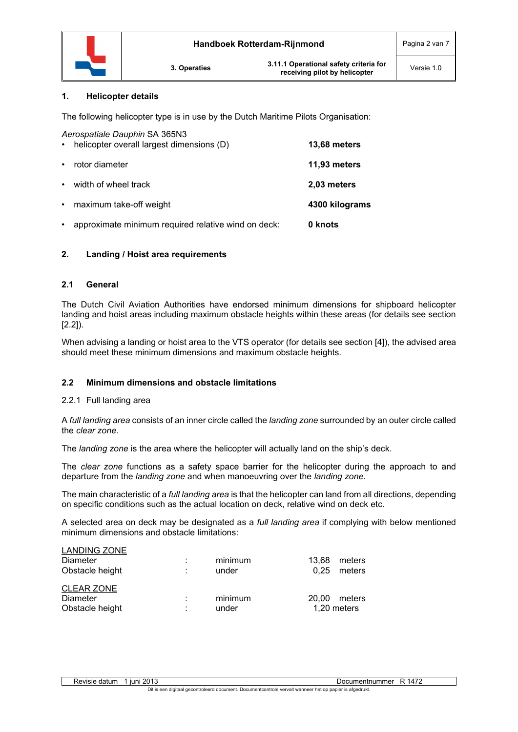

## **1. Helicopter details**

The following helicopter type is in use by the Dutch Maritime Pilots Organisation:

| $\bullet$ | Aerospatiale Dauphin SA 365N3<br>helicopter overall largest dimensions (D) | 13,68 meters   |
|-----------|----------------------------------------------------------------------------|----------------|
| $\bullet$ | rotor diameter                                                             | 11,93 meters   |
| $\bullet$ | width of wheel track                                                       | 2,03 meters    |
| $\bullet$ | maximum take-off weight                                                    | 4300 kilograms |
| $\bullet$ | approximate minimum required relative wind on deck:                        | 0 knots        |

# **2. Landing / Hoist area requirements**

# **2.1 General**

The Dutch Civil Aviation Authorities have endorsed minimum dimensions for shipboard helicopter landing and hoist areas including maximum obstacle heights within these areas (for details see section [2.2]).

When advising a landing or hoist area to the VTS operator (for details see section [4]), the advised area should meet these minimum dimensions and maximum obstacle heights.

# **2.2 Minimum dimensions and obstacle limitations**

## 2.2.1 Full landing area

A *full landing area* consists of an inner circle called the *landing zone* surrounded by an outer circle called the *clear zone*.

The *landing zone* is the area where the helicopter will actually land on the ship's deck.

The *clear zone* functions as a safety space barrier for the helicopter during the approach to and departure from the *landing zone* and when manoeuvring over the *landing zone*.

The main characteristic of a *full landing area* is that the helicopter can land from all directions, depending on specific conditions such as the actual location on deck, relative wind on deck etc.

A selected area on deck may be designated as a *full landing area* if complying with below mentioned minimum dimensions and obstacle limitations:

| <b>LANDING ZONE</b><br>Diameter<br>Obstacle height | ٠<br>٠ | minimum<br>under | 13.68<br>0.25 | meters<br>meters      |
|----------------------------------------------------|--------|------------------|---------------|-----------------------|
| <b>CLEAR ZONE</b><br>Diameter<br>Obstacle height   | ٠      | minimum<br>under | 20.00         | meters<br>1,20 meters |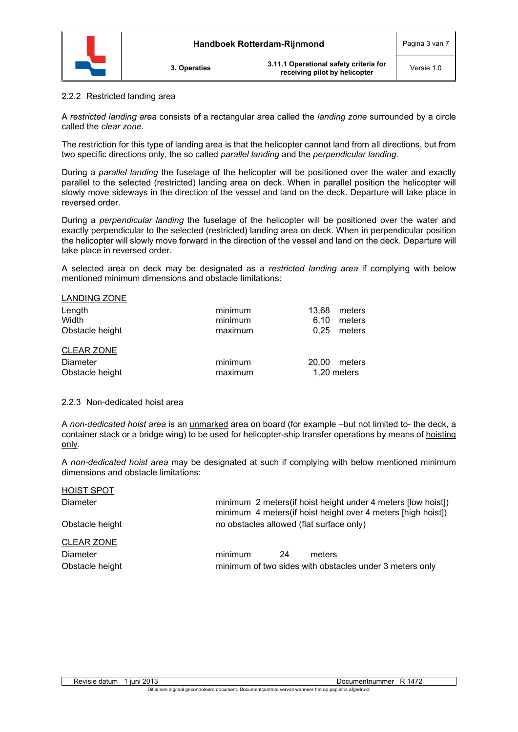

**3. Operaties 3.11.1 Operational safety criteria for receiving pilot by helicopter** Versie 1.0

#### 2.2.2 Restricted landing area

A *restricted landing area* consists of a rectangular area called the *landing zone* surrounded by a circle called the *clear zone*.

The restriction for this type of landing area is that the helicopter cannot land from all directions, but from two specific directions only, the so called *parallel landing* and the *perpendicular landing.*

During a *parallel landing* the fuselage of the helicopter will be positioned over the water and exactly parallel to the selected (restricted) landing area on deck. When in parallel position the helicopter will slowly move sideways in the direction of the vessel and land on the deck. Departure will take place in reversed order.

During a *perpendicular landing* the fuselage of the helicopter will be positioned over the water and exactly perpendicular to the selected (restricted) landing area on deck. When in perpendicular position the helicopter will slowly move forward in the direction of the vessel and land on the deck. Departure will take place in reversed order.

A selected area on deck may be designated as a *restricted landing area* if complying with below mentioned minimum dimensions and obstacle limitations:

| <b>LANDING ZONE</b> |         |       |             |
|---------------------|---------|-------|-------------|
| Length              | minimum | 13.68 | meters      |
| Width               | minimum | 6.10  | meters      |
| Obstacle height     | maximum | 0.25  | meters      |
| <b>CLEAR ZONE</b>   |         |       |             |
| <b>Diameter</b>     | minimum | 20.00 | meters      |
| Obstacle height     | maximum |       | 1,20 meters |

#### 2.2.3 Non-dedicated hoist area

A *non-dedicated hoist area* is an unmarked area on board (for example –but not limited to- the deck, a container stack or a bridge wing) to be used for helicopter-ship transfer operations by means of hoisting only.

A *non-dedicated hoist area* may be designated at such if complying with below mentioned minimum dimensions and obstacle limitations:

| <b>HOIST SPOT</b> |                                                                                                                               |    |                                                         |
|-------------------|-------------------------------------------------------------------------------------------------------------------------------|----|---------------------------------------------------------|
| Diameter          | minimum 2 meters (if hoist height under 4 meters [low hoist])<br>minimum 4 meters(if hoist height over 4 meters [high hoist]) |    |                                                         |
| Obstacle height   | no obstacles allowed (flat surface only)                                                                                      |    |                                                         |
| <b>CLEAR ZONE</b> |                                                                                                                               |    |                                                         |
| Diameter          | minimum                                                                                                                       | 24 | meters                                                  |
| Obstacle height   |                                                                                                                               |    | minimum of two sides with obstacles under 3 meters only |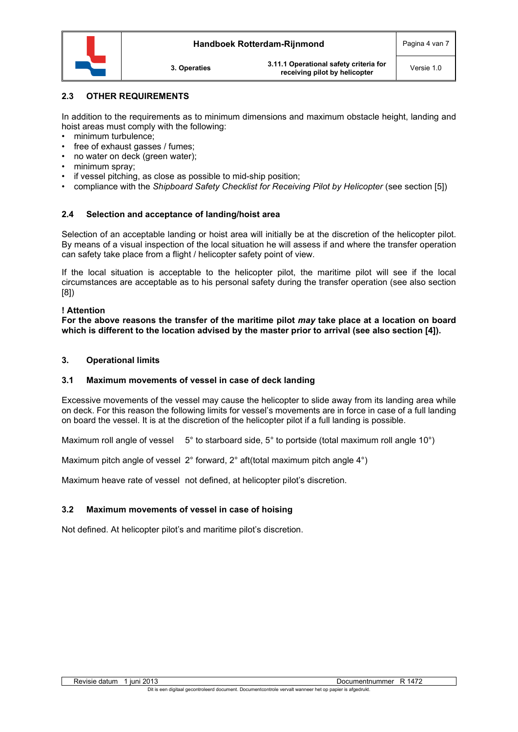

# **2.3 OTHER REQUIREMENTS**

In addition to the requirements as to minimum dimensions and maximum obstacle height, landing and hoist areas must comply with the following:

- minimum turbulence;
- free of exhaust gasses / fumes:
- no water on deck (green water);
- minimum spray;
- if vessel pitching, as close as possible to mid-ship position;
- compliance with the *Shipboard Safety Checklist for Receiving Pilot by Helicopter* (see section [5])

# **2.4 Selection and acceptance of landing/hoist area**

Selection of an acceptable landing or hoist area will initially be at the discretion of the helicopter pilot. By means of a visual inspection of the local situation he will assess if and where the transfer operation can safety take place from a flight / helicopter safety point of view.

If the local situation is acceptable to the helicopter pilot, the maritime pilot will see if the local circumstances are acceptable as to his personal safety during the transfer operation (see also section [8])

## **! Attention**

**For the above reasons the transfer of the maritime pilot** *may* **take place at a location on board which is different to the location advised by the master prior to arrival (see also section [4]).**

# **3. Operational limits**

## **3.1 Maximum movements of vessel in case of deck landing**

Excessive movements of the vessel may cause the helicopter to slide away from its landing area while on deck. For this reason the following limits for vessel's movements are in force in case of a full landing on board the vessel. It is at the discretion of the helicopter pilot if a full landing is possible.

Maximum roll angle of vessel  $5^\circ$  to starboard side,  $5^\circ$  to portside (total maximum roll angle 10°)

Maximum pitch angle of vessel 2° forward, 2° aft(total maximum pitch angle 4°)

Maximum heave rate of vessel not defined, at helicopter pilot's discretion.

# **3.2 Maximum movements of vessel in case of hoising**

Not defined. At helicopter pilot's and maritime pilot's discretion.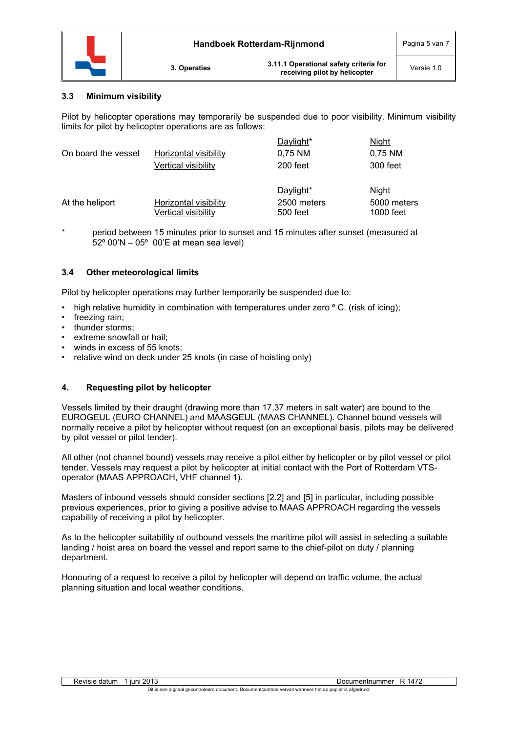

**3. Operaties 3.11.1 Operational safety criteria for receiving pilot by helicopter** Versie 1.0

# **3.3 Minimum visibility**

Pilot by helicopter operations may temporarily be suspended due to poor visibility. Minimum visibility limits for pilot by helicopter operations are as follows:

| On board the vessel | Horizontal visibility<br>Vertical visibility        | D <u>aylight</u> *<br>0,75 NM<br>200 feet | Night<br>0,75 NM<br>300 feet      |
|---------------------|-----------------------------------------------------|-------------------------------------------|-----------------------------------|
| At the heliport     | <b>Horizontal visibility</b><br>Vertical visibility | Daylight*<br>2500 meters<br>500 feet      | Night<br>5000 meters<br>1000 feet |

\* period between 15 minutes prior to sunset and 15 minutes after sunset (measured at 52º 00'N – 05º 00'E at mean sea level)

## **3.4 Other meteorological limits**

Pilot by helicopter operations may further temporarily be suspended due to:

- high relative humidity in combination with temperatures under zero  $\degree$  C. (risk of icing);
- freezing rain;
- thunder storms:
- extreme snowfall or hail:
- winds in excess of 55 knots;
- relative wind on deck under 25 knots (in case of hoisting only)

# **4. Requesting pilot by helicopter**

Vessels limited by their draught (drawing more than 17,37 meters in salt water) are bound to the EUROGEUL (EURO CHANNEL) and MAASGEUL (MAAS CHANNEL). Channel bound vessels will normally receive a pilot by helicopter without request (on an exceptional basis, pilots may be delivered by pilot vessel or pilot tender).

All other (not channel bound) vessels may receive a pilot either by helicopter or by pilot vessel or pilot tender. Vessels may request a pilot by helicopter at initial contact with the Port of Rotterdam VTSoperator (MAAS APPROACH, VHF channel 1).

Masters of inbound vessels should consider sections [2.2] and [5] in particular, including possible previous experiences, prior to giving a positive advise to MAAS APPROACH regarding the vessels capability of receiving a pilot by helicopter.

As to the helicopter suitability of outbound vessels the maritime pilot will assist in selecting a suitable landing / hoist area on board the vessel and report same to the chief-pilot on duty / planning department.

Honouring of a request to receive a pilot by helicopter will depend on traffic volume, the actual planning situation and local weather conditions.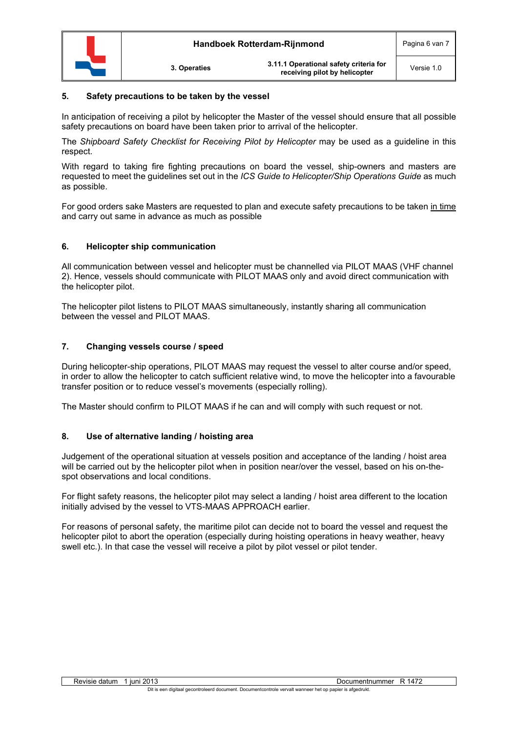

## **5. Safety precautions to be taken by the vessel**

In anticipation of receiving a pilot by helicopter the Master of the vessel should ensure that all possible safety precautions on board have been taken prior to arrival of the helicopter.

The *Shipboard Safety Checklist for Receiving Pilot by Helicopter* may be used as a guideline in this respect.

With regard to taking fire fighting precautions on board the vessel, ship-owners and masters are requested to meet the guidelines set out in the *ICS Guide to Helicopter/Ship Operations Guide* as much as possible.

For good orders sake Masters are requested to plan and execute safety precautions to be taken in time and carry out same in advance as much as possible

## **6. Helicopter ship communication**

All communication between vessel and helicopter must be channelled via PILOT MAAS (VHF channel 2). Hence, vessels should communicate with PILOT MAAS only and avoid direct communication with the helicopter pilot.

The helicopter pilot listens to PILOT MAAS simultaneously, instantly sharing all communication between the vessel and PILOT MAAS.

## **7. Changing vessels course / speed**

During helicopter-ship operations, PILOT MAAS may request the vessel to alter course and/or speed, in order to allow the helicopter to catch sufficient relative wind, to move the helicopter into a favourable transfer position or to reduce vessel's movements (especially rolling).

The Master should confirm to PILOT MAAS if he can and will comply with such request or not.

## **8. Use of alternative landing / hoisting area**

Judgement of the operational situation at vessels position and acceptance of the landing / hoist area will be carried out by the helicopter pilot when in position near/over the vessel, based on his on-thespot observations and local conditions.

For flight safety reasons, the helicopter pilot may select a landing / hoist area different to the location initially advised by the vessel to VTS-MAAS APPROACH earlier.

For reasons of personal safety, the maritime pilot can decide not to board the vessel and request the helicopter pilot to abort the operation (especially during hoisting operations in heavy weather, heavy swell etc.). In that case the vessel will receive a pilot by pilot vessel or pilot tender.